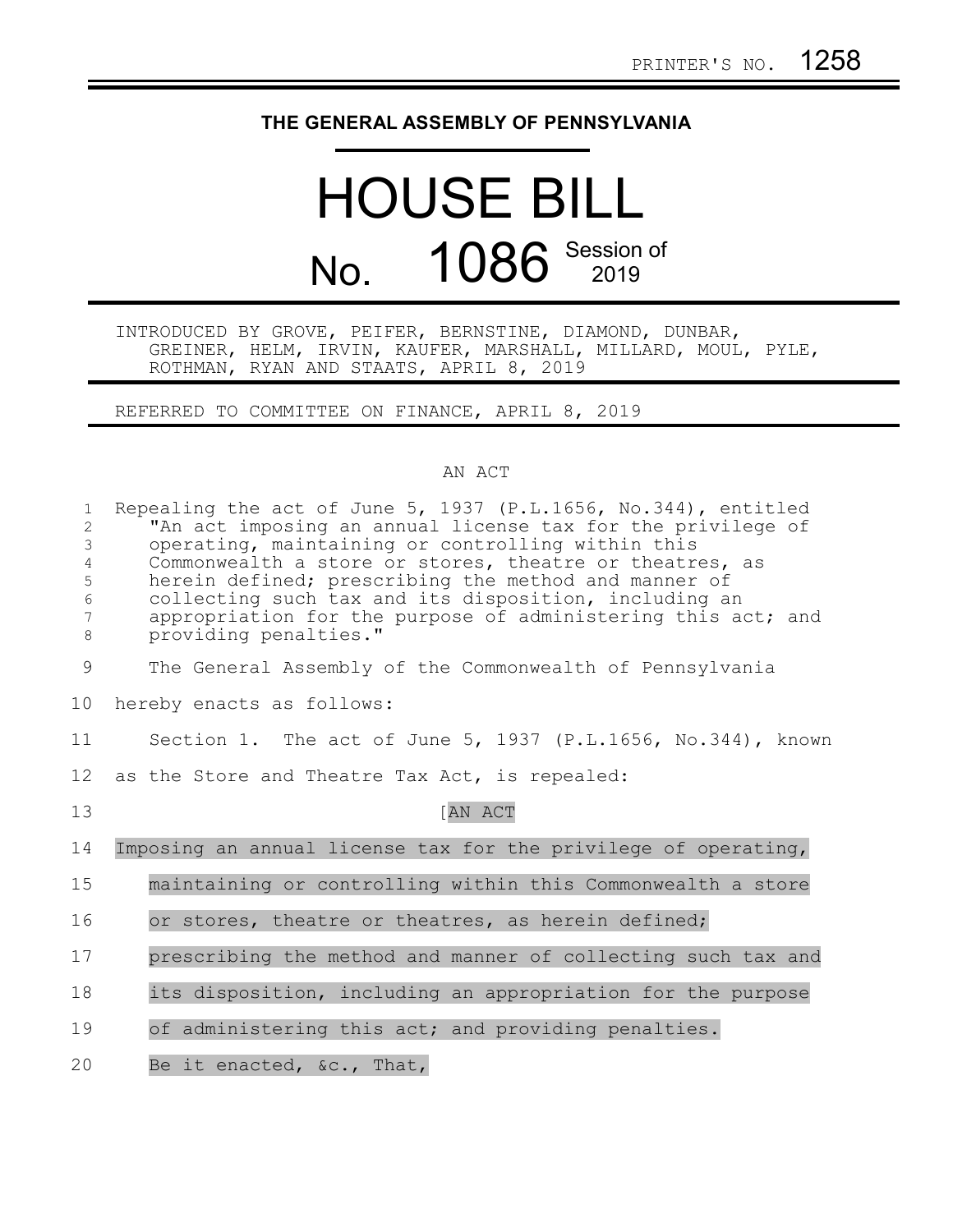## **THE GENERAL ASSEMBLY OF PENNSYLVANIA**

## HOUSE BILL No. 1086 Session of

## INTRODUCED BY GROVE, PEIFER, BERNSTINE, DIAMOND, DUNBAR, GREINER, HELM, IRVIN, KAUFER, MARSHALL, MILLARD, MOUL, PYLE, ROTHMAN, RYAN AND STAATS, APRIL 8, 2019

REFERRED TO COMMITTEE ON FINANCE, APRIL 8, 2019

## AN ACT

| $\mathbf{1}$<br>$\overline{2}$<br>3<br>$\overline{4}$<br>5<br>6<br>7<br>$\,8\,$ | Repealing the act of June 5, 1937 (P.L.1656, No.344), entitled<br>"An act imposing an annual license tax for the privilege of<br>operating, maintaining or controlling within this<br>Commonwealth a store or stores, theatre or theatres, as<br>herein defined; prescribing the method and manner of<br>collecting such tax and its disposition, including an<br>appropriation for the purpose of administering this act; and<br>providing penalties." |
|---------------------------------------------------------------------------------|---------------------------------------------------------------------------------------------------------------------------------------------------------------------------------------------------------------------------------------------------------------------------------------------------------------------------------------------------------------------------------------------------------------------------------------------------------|
| 9                                                                               | The General Assembly of the Commonwealth of Pennsylvania                                                                                                                                                                                                                                                                                                                                                                                                |
| 10                                                                              | hereby enacts as follows:                                                                                                                                                                                                                                                                                                                                                                                                                               |
| 11                                                                              | Section 1. The act of June 5, 1937 (P.L.1656, No.344), known                                                                                                                                                                                                                                                                                                                                                                                            |
| 12                                                                              | as the Store and Theatre Tax Act, is repealed:                                                                                                                                                                                                                                                                                                                                                                                                          |
| 13                                                                              | [AN ACT                                                                                                                                                                                                                                                                                                                                                                                                                                                 |
| 14                                                                              | Imposing an annual license tax for the privilege of operating,                                                                                                                                                                                                                                                                                                                                                                                          |
| 15                                                                              | maintaining or controlling within this Commonwealth a store                                                                                                                                                                                                                                                                                                                                                                                             |
| 16                                                                              | or stores, theatre or theatres, as herein defined;                                                                                                                                                                                                                                                                                                                                                                                                      |
| 17                                                                              | prescribing the method and manner of collecting such tax and                                                                                                                                                                                                                                                                                                                                                                                            |
| 18                                                                              | its disposition, including an appropriation for the purpose                                                                                                                                                                                                                                                                                                                                                                                             |
| 19                                                                              | of administering this act; and providing penalties.                                                                                                                                                                                                                                                                                                                                                                                                     |
| 20                                                                              | Be it enacted, &c., That,                                                                                                                                                                                                                                                                                                                                                                                                                               |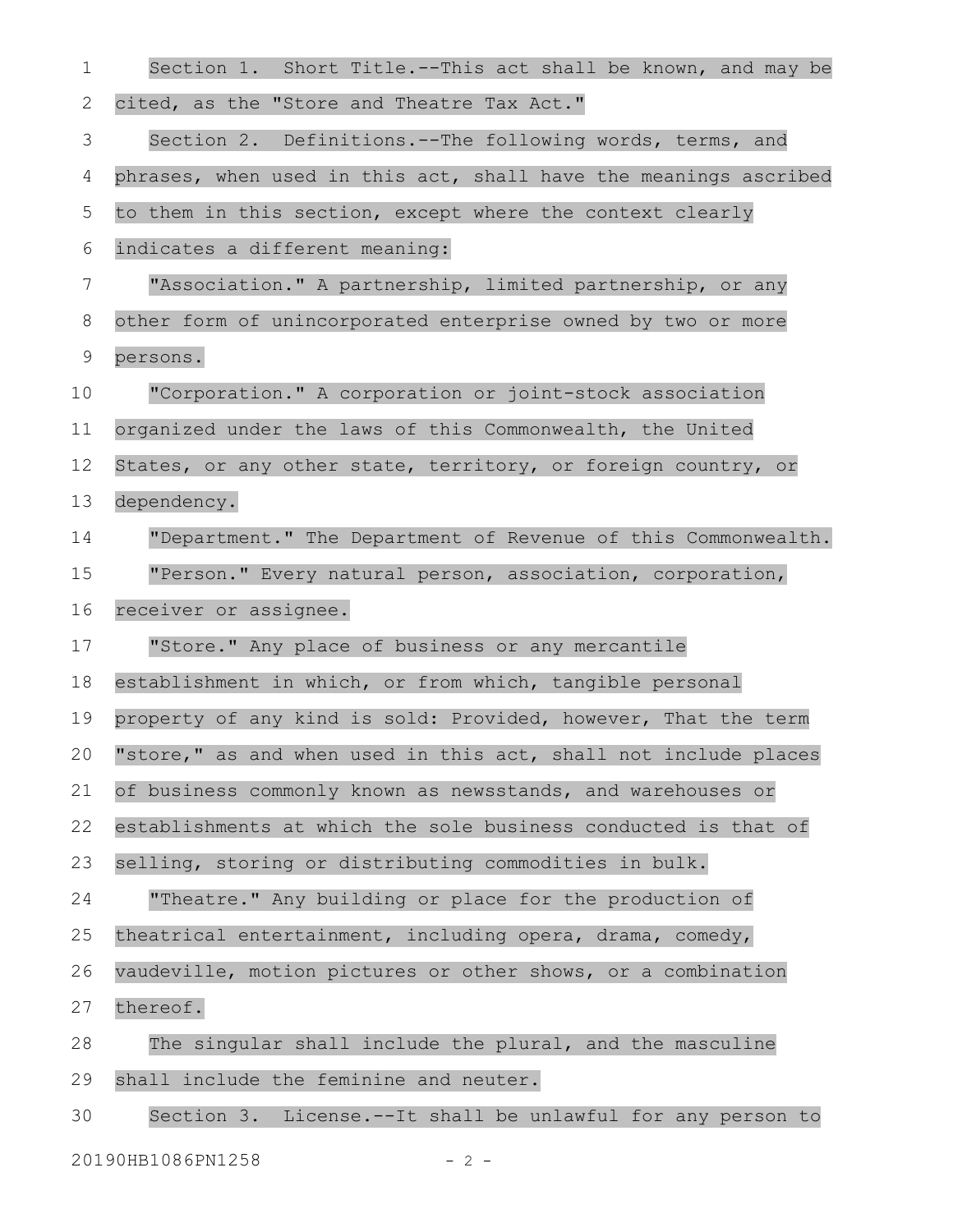| $\mathbf 1$ | Section 1. Short Title.--This act shall be known, and may be     |
|-------------|------------------------------------------------------------------|
| 2           | cited, as the "Store and Theatre Tax Act."                       |
| 3           | Section 2. Definitions.--The following words, terms, and         |
| 4           | phrases, when used in this act, shall have the meanings ascribed |
| 5           | to them in this section, except where the context clearly        |
| 6           | indicates a different meaning:                                   |
| 7           | "Association." A partnership, limited partnership, or any        |
| $8\,$       | other form of unincorporated enterprise owned by two or more     |
| 9           | persons.                                                         |
| 10          | "Corporation." A corporation or joint-stock association          |
| 11          | organized under the laws of this Commonwealth, the United        |
| 12          | States, or any other state, territory, or foreign country, or    |
| 13          | dependency.                                                      |
| 14          | "Department." The Department of Revenue of this Commonwealth.    |
| 15          | "Person." Every natural person, association, corporation,        |
| 16          | receiver or assignee.                                            |
| 17          | "Store." Any place of business or any mercantile                 |
| 18          | establishment in which, or from which, tangible personal         |
| 19          | property of any kind is sold: Provided, however, That the term   |
| 20          | "store," as and when used in this act, shall not include places  |
| 21          | of business commonly known as newsstands, and warehouses or      |
| 22          | establishments at which the sole business conducted is that of   |
| 23          | selling, storing or distributing commodities in bulk.            |
| 24          | "Theatre." Any building or place for the production of           |
| 25          | theatrical entertainment, including opera, drama, comedy,        |
| 26          | vaudeville, motion pictures or other shows, or a combination     |
| 27          | thereof.                                                         |
| 28          | The singular shall include the plural, and the masculine         |
| 29          | shall include the feminine and neuter.                           |
| 30          | Section 3. License.--It shall be unlawful for any person to      |
|             | 20190HB1086PN1258<br>$-2 -$                                      |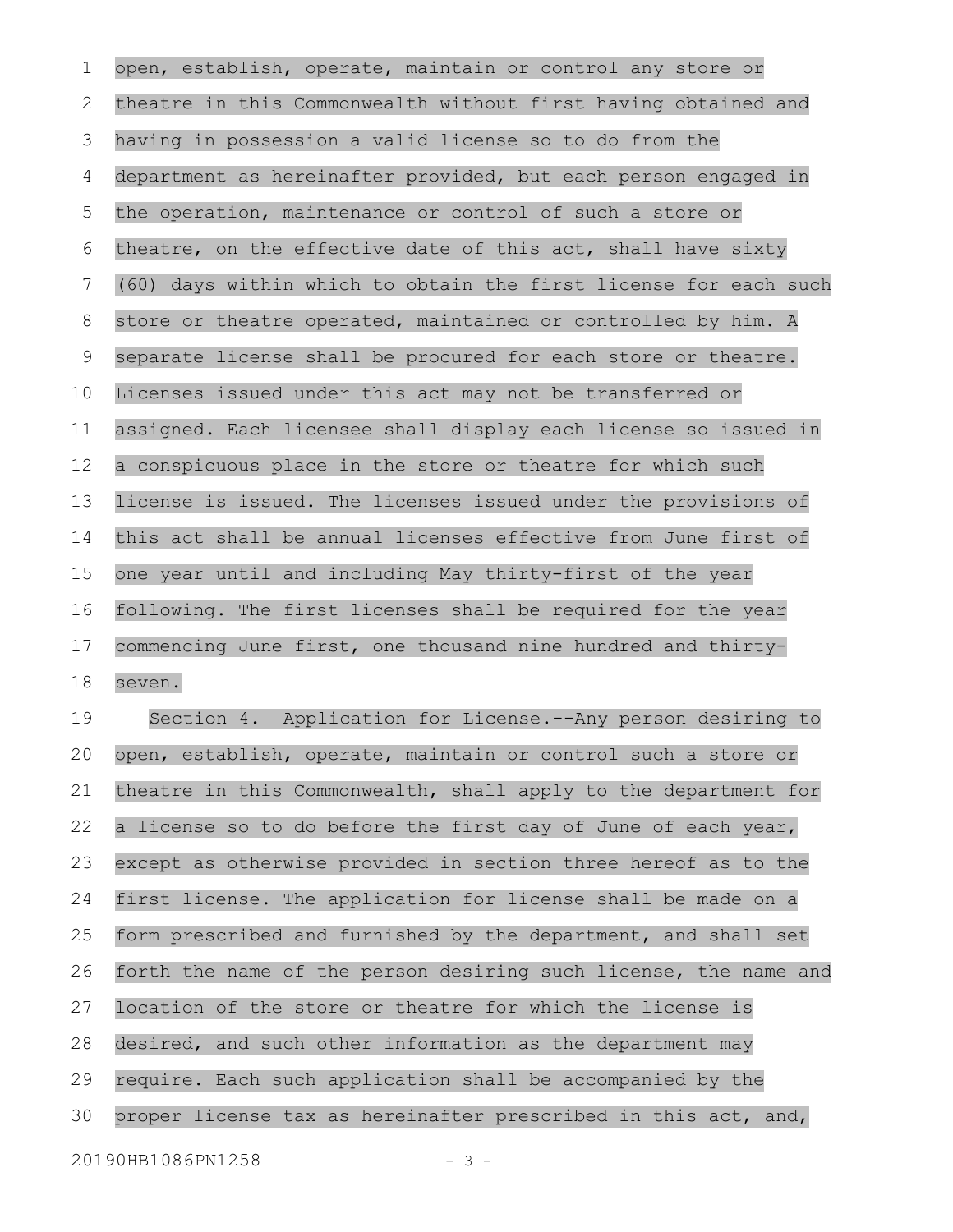open, establish, operate, maintain or control any store or theatre in this Commonwealth without first having obtained and having in possession a valid license so to do from the department as hereinafter provided, but each person engaged in the operation, maintenance or control of such a store or theatre, on the effective date of this act, shall have sixty (60) days within which to obtain the first license for each such store or theatre operated, maintained or controlled by him. A separate license shall be procured for each store or theatre. Licenses issued under this act may not be transferred or assigned. Each licensee shall display each license so issued in a conspicuous place in the store or theatre for which such license is issued. The licenses issued under the provisions of this act shall be annual licenses effective from June first of one year until and including May thirty-first of the year following. The first licenses shall be required for the year commencing June first, one thousand nine hundred and thirtyseven. Section 4. Application for License.--Any person desiring to open, establish, operate, maintain or control such a store or theatre in this Commonwealth, shall apply to the department for a license so to do before the first day of June of each year, except as otherwise provided in section three hereof as to the first license. The application for license shall be made on a form prescribed and furnished by the department, and shall set forth the name of the person desiring such license, the name and location of the store or theatre for which the license is desired, and such other information as the department may require. Each such application shall be accompanied by the proper license tax as hereinafter prescribed in this act, and, 20190HB1086PN1258 - 3 -1 2 3 4 5 6 7 8 9 10 11 12 13 14 15 16 17 18 19 20 21 22 23 24 25 26 27 28 29 30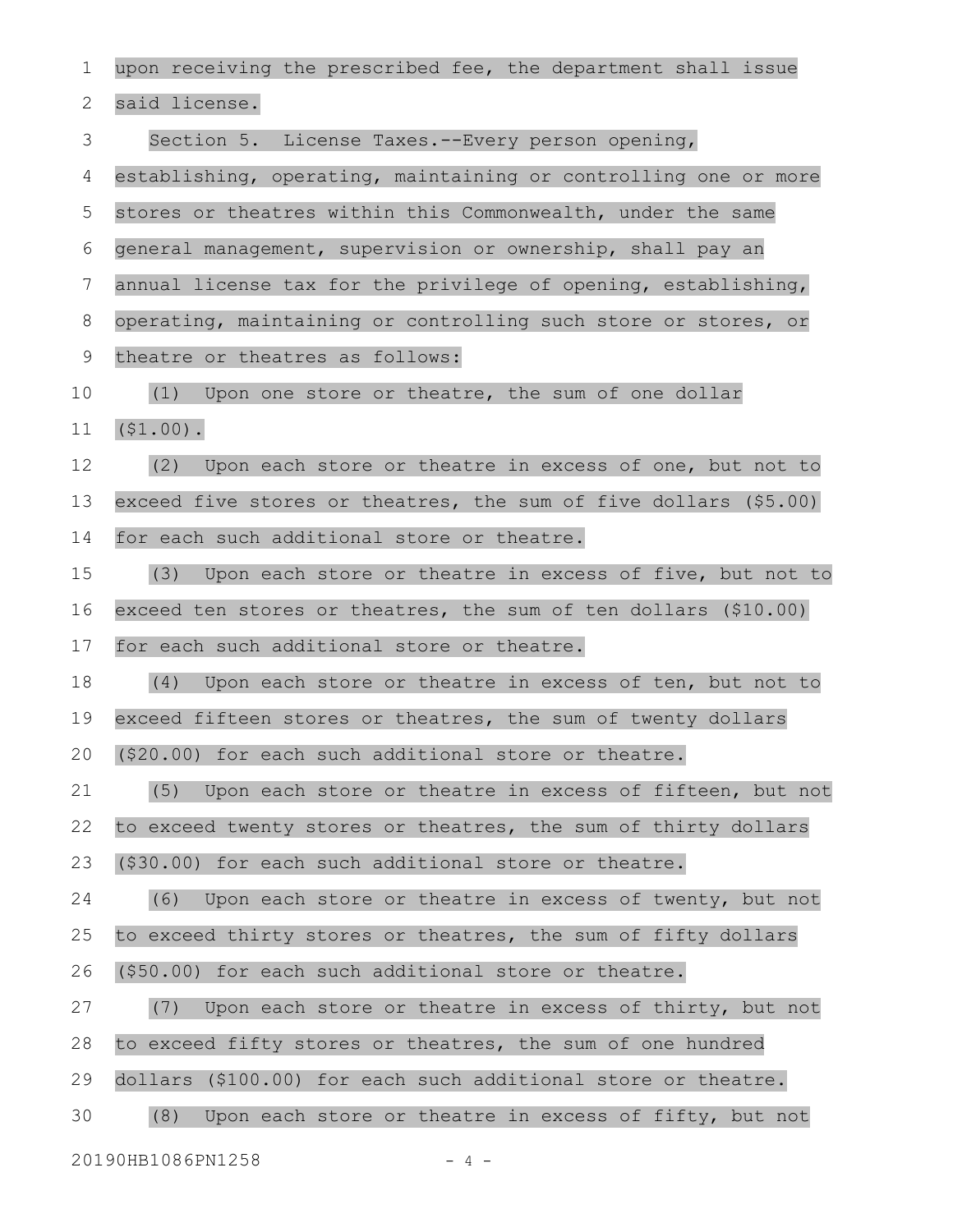upon receiving the prescribed fee, the department shall issue said license. Section 5. License Taxes.--Every person opening, establishing, operating, maintaining or controlling one or more stores or theatres within this Commonwealth, under the same general management, supervision or ownership, shall pay an annual license tax for the privilege of opening, establishing, operating, maintaining or controlling such store or stores, or theatre or theatres as follows: (1) Upon one store or theatre, the sum of one dollar (\$1.00). (2) Upon each store or theatre in excess of one, but not to exceed five stores or theatres, the sum of five dollars (\$5.00) for each such additional store or theatre. (3) Upon each store or theatre in excess of five, but not to exceed ten stores or theatres, the sum of ten dollars (\$10.00) for each such additional store or theatre. (4) Upon each store or theatre in excess of ten, but not to exceed fifteen stores or theatres, the sum of twenty dollars (\$20.00) for each such additional store or theatre. (5) Upon each store or theatre in excess of fifteen, but not to exceed twenty stores or theatres, the sum of thirty dollars (\$30.00) for each such additional store or theatre. (6) Upon each store or theatre in excess of twenty, but not to exceed thirty stores or theatres, the sum of fifty dollars (\$50.00) for each such additional store or theatre. (7) Upon each store or theatre in excess of thirty, but not to exceed fifty stores or theatres, the sum of one hundred dollars (\$100.00) for each such additional store or theatre. (8) Upon each store or theatre in excess of fifty, but not 20190HB1086PN1258 - 4 -1 2 3 4 5 6 7 8 9 10 11 12 13 14 15 16 17 18 19 20 21 22 23 24 25 26 27 28 29 30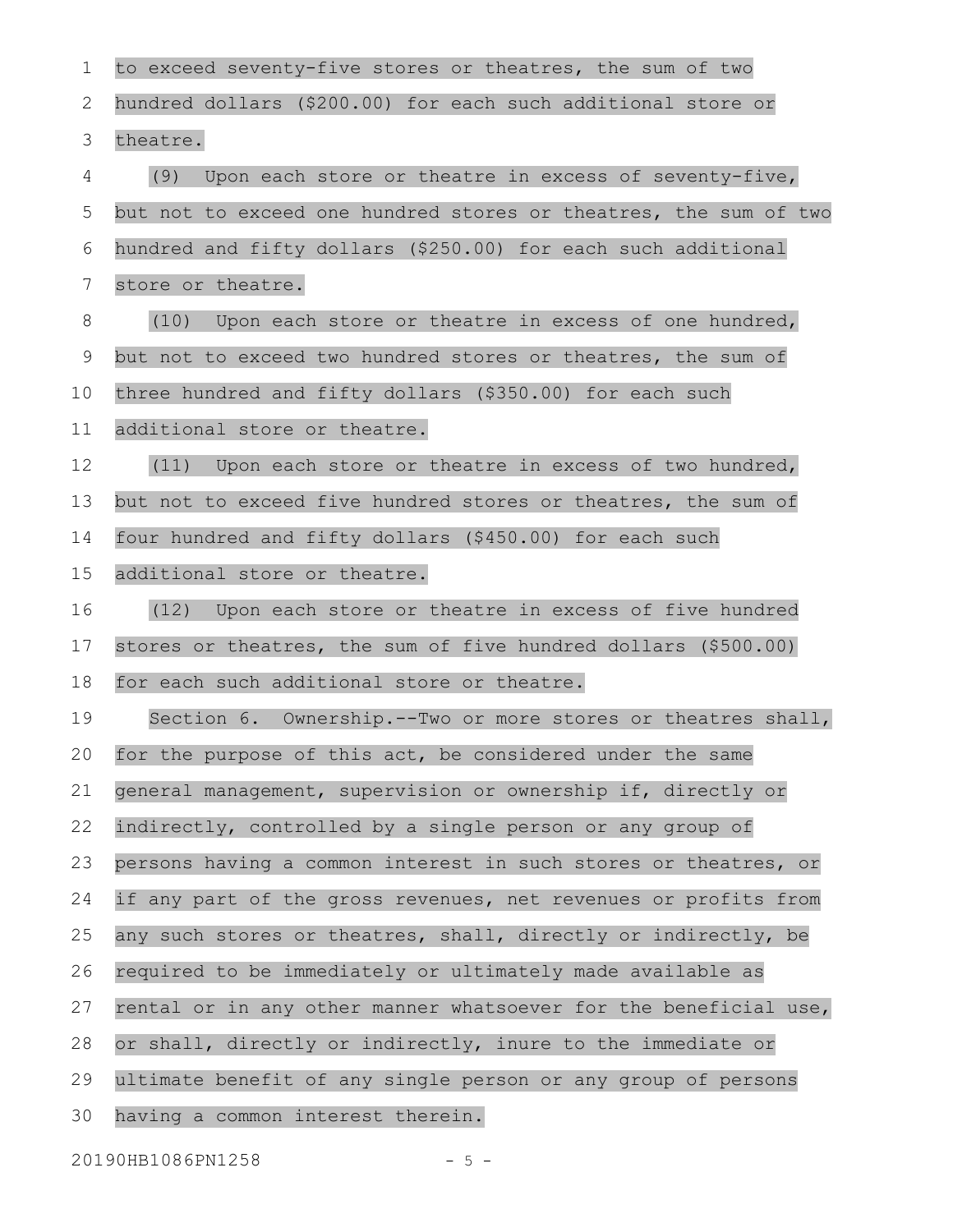to exceed seventy-five stores or theatres, the sum of two hundred dollars (\$200.00) for each such additional store or theatre. (9) Upon each store or theatre in excess of seventy-five, but not to exceed one hundred stores or theatres, the sum of two hundred and fifty dollars (\$250.00) for each such additional store or theatre. (10) Upon each store or theatre in excess of one hundred, but not to exceed two hundred stores or theatres, the sum of three hundred and fifty dollars (\$350.00) for each such additional store or theatre. (11) Upon each store or theatre in excess of two hundred, but not to exceed five hundred stores or theatres, the sum of four hundred and fifty dollars (\$450.00) for each such additional store or theatre. (12) Upon each store or theatre in excess of five hundred stores or theatres, the sum of five hundred dollars (\$500.00) for each such additional store or theatre. Section 6. Ownership.--Two or more stores or theatres shall, for the purpose of this act, be considered under the same general management, supervision or ownership if, directly or indirectly, controlled by a single person or any group of persons having a common interest in such stores or theatres, or if any part of the gross revenues, net revenues or profits from any such stores or theatres, shall, directly or indirectly, be required to be immediately or ultimately made available as rental or in any other manner whatsoever for the beneficial use, or shall, directly or indirectly, inure to the immediate or ultimate benefit of any single person or any group of persons having a common interest therein. 1 2 3 4 5 6 7 8 9 10 11 12 13 14 15 16 17 18 19 20 21 22 23 24 25 26 27 28 29 30

20190HB1086PN1258 - 5 -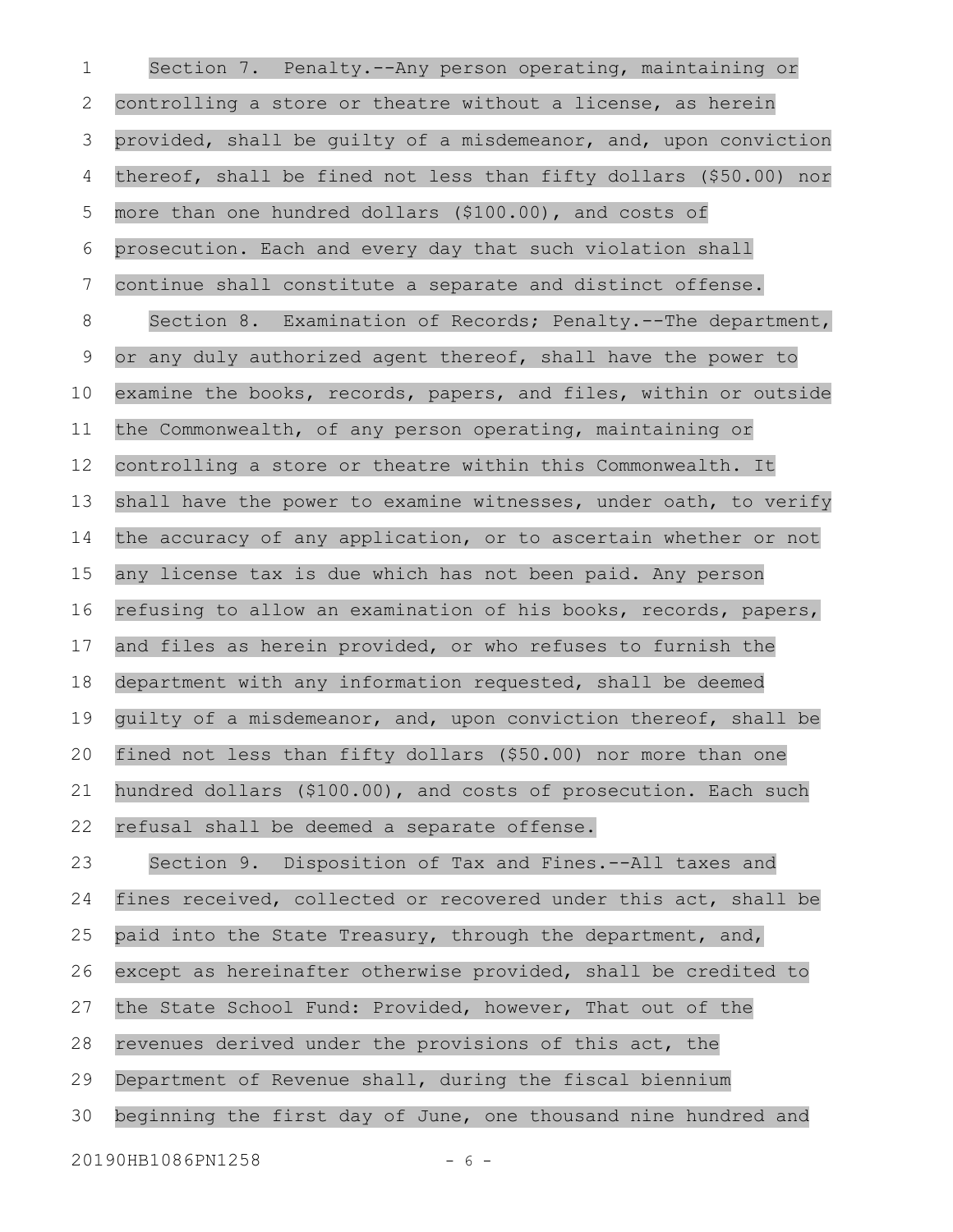Section 7. Penalty.--Any person operating, maintaining or controlling a store or theatre without a license, as herein provided, shall be guilty of a misdemeanor, and, upon conviction thereof, shall be fined not less than fifty dollars (\$50.00) nor more than one hundred dollars (\$100.00), and costs of prosecution. Each and every day that such violation shall continue shall constitute a separate and distinct offense. Section 8. Examination of Records; Penalty.--The department, or any duly authorized agent thereof, shall have the power to examine the books, records, papers, and files, within or outside the Commonwealth, of any person operating, maintaining or controlling a store or theatre within this Commonwealth. It shall have the power to examine witnesses, under oath, to verify the accuracy of any application, or to ascertain whether or not any license tax is due which has not been paid. Any person refusing to allow an examination of his books, records, papers, and files as herein provided, or who refuses to furnish the department with any information requested, shall be deemed guilty of a misdemeanor, and, upon conviction thereof, shall be fined not less than fifty dollars (\$50.00) nor more than one hundred dollars (\$100.00), and costs of prosecution. Each such refusal shall be deemed a separate offense. Section 9. Disposition of Tax and Fines.--All taxes and fines received, collected or recovered under this act, shall be paid into the State Treasury, through the department, and, except as hereinafter otherwise provided, shall be credited to the State School Fund: Provided, however, That out of the revenues derived under the provisions of this act, the Department of Revenue shall, during the fiscal biennium beginning the first day of June, one thousand nine hundred and 20190HB1086PN1258 - 6 -1 2 3 4 5 6 7 8 9 10 11 12 13 14 15 16 17 18 19 20 21 22 23 24 25 26 27 28 29 30